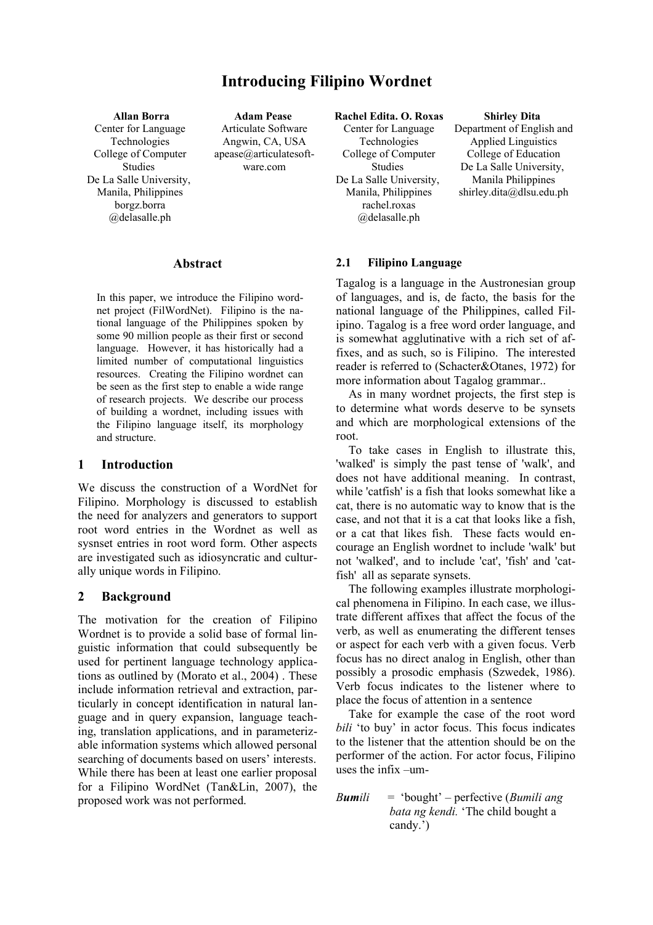# **Introducing Filipino Wordnet**

**Allan Borra** Center for Language Technologies College of Computer Studies De La Salle University, Manila, Philippines borgz.borra @delasalle.ph

**Adam Pease**  Articulate Software Angwin, CA, USA apease@articulatesoftware.com

#### **Abstract**

In this paper, we introduce the Filipino wordnet project (FilWordNet). Filipino is the national language of the Philippines spoken by some 90 million people as their first or second language. However, it has historically had a limited number of computational linguistics resources. Creating the Filipino wordnet can be seen as the first step to enable a wide range of research projects. We describe our process of building a wordnet, including issues with the Filipino language itself, its morphology and structure.

#### **1 Introduction**

We discuss the construction of a WordNet for Filipino. Morphology is discussed to establish the need for analyzers and generators to support root word entries in the Wordnet as well as sysnset entries in root word form. Other aspects are investigated such as idiosyncratic and culturally unique words in Filipino.

#### **2 Background**

The motivation for the creation of Filipino Wordnet is to provide a solid base of formal linguistic information that could subsequently be used for pertinent language technology applications as outlined by (Morato et al., 2004) . These include information retrieval and extraction, particularly in concept identification in natural language and in query expansion, language teaching, translation applications, and in parameterizable information systems which allowed personal searching of documents based on users' interests. While there has been at least one earlier proposal for a Filipino WordNet (Tan&Lin, 2007), the proposed work was not performed.

**Rachel Edita. O. Roxas** Center for Language Technologies College of Computer Studies De La Salle University, Manila, Philippines rachel.roxas @delasalle.ph

#### **Shirley Dita**

Department of English and Applied Linguistics College of Education De La Salle University, Manila Philippines shirley.dita@dlsu.edu.ph

#### **2.1 Filipino Language**

Tagalog is a language in the Austronesian group of languages, and is, de facto, the basis for the national language of the Philippines, called Filipino. Tagalog is a free word order language, and is somewhat agglutinative with a rich set of affixes, and as such, so is Filipino. The interested reader is referred to (Schacter&Otanes, 1972) for more information about Tagalog grammar..

As in many wordnet projects, the first step is to determine what words deserve to be synsets and which are morphological extensions of the root.

To take cases in English to illustrate this, 'walked' is simply the past tense of 'walk', and does not have additional meaning. In contrast, while 'catfish' is a fish that looks somewhat like a cat, there is no automatic way to know that is the case, and not that it is a cat that looks like a fish, or a cat that likes fish. These facts would encourage an English wordnet to include 'walk' but not 'walked', and to include 'cat', 'fish' and 'catfish' all as separate synsets.

The following examples illustrate morphological phenomena in Filipino. In each case, we illustrate different affixes that affect the focus of the verb, as well as enumerating the different tenses or aspect for each verb with a given focus. Verb focus has no direct analog in English, other than possibly a prosodic emphasis (Szwedek, 1986). Verb focus indicates to the listener where to place the focus of attention in a sentence

Take for example the case of the root word *bili* 'to buy' in actor focus. This focus indicates to the listener that the attention should be on the performer of the action. For actor focus, Filipino uses the infix –um-

*Bumili* = 'bought' – perfective (*Bumili ang bata ng kendi.* 'The child bought a candy.')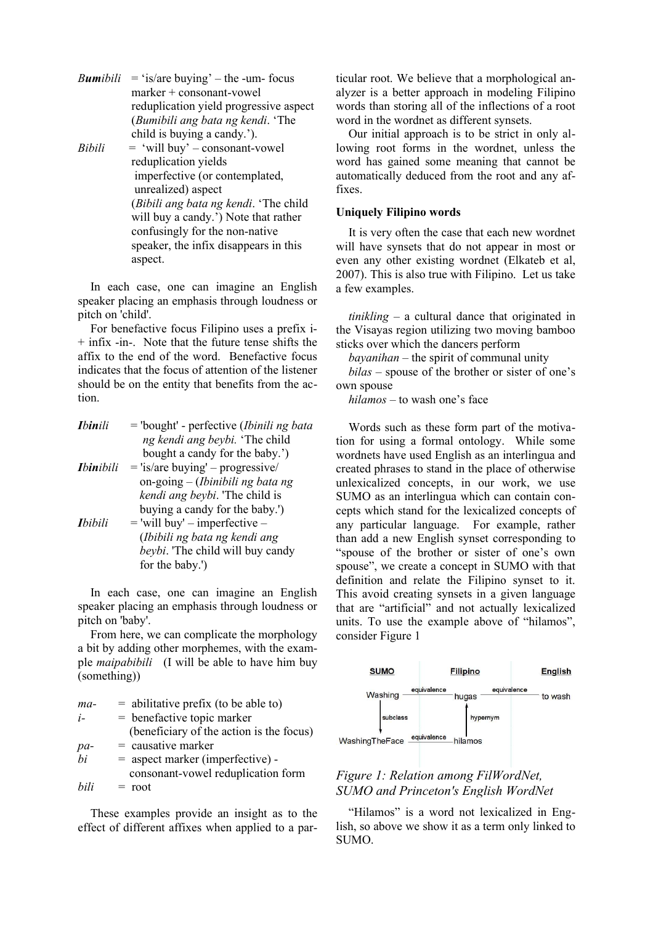*Bumibili* = 'is/are buying' – the -um- focus marker + consonant-vowel reduplication yield progressive aspect (*Bumibili ang bata ng kendi*. 'The child is buying a candy.'). *Bibili* = 'will buy' – consonant-vowel reduplication yields imperfective (or contemplated,

 unrealized) aspect (*Bibili ang bata ng kendi*. 'The child will buy a candy.') Note that rather confusingly for the non-native speaker, the infix disappears in this aspect.

In each case, one can imagine an English speaker placing an emphasis through loudness or pitch on 'child'.

For benefactive focus Filipino uses a prefix i-  $+$  infix -in-. Note that the future tense shifts the affix to the end of the word. Benefactive focus indicates that the focus of attention of the listener should be on the entity that benefits from the action.

| <b>Ibinili</b>   | = 'bought' - perfective (Ibinili ng bata   |
|------------------|--------------------------------------------|
|                  | ng kendi ang beybi. 'The child             |
|                  | bought a candy for the baby.')             |
| <b>Ibinibili</b> | $=$ 'is/are buying' – progressive/         |
|                  | on-going $-$ ( <i>Ibinibili ng bata ng</i> |
|                  | kendi ang beybi. 'The child is             |
|                  | buying a candy for the baby.')             |
| <b>I</b> bibili  | $=$ 'will buy' – imperfective –            |
|                  | (Ibibili ng bata ng kendi ang              |
|                  | beybi. The child will buy candy            |
|                  | for the baby.')                            |
|                  |                                            |

In each case, one can imagine an English speaker placing an emphasis through loudness or pitch on 'baby'.

From here, we can complicate the morphology a bit by adding other morphemes, with the example *maipabibili* (I will be able to have him buy (something))

| $ma-$     | $=$ abilitative prefix (to be able to)   |
|-----------|------------------------------------------|
| $i-$      | $=$ benefactive topic marker             |
|           | (beneficiary of the action is the focus) |
|           | $=$ causative marker                     |
| pa-<br>bi | $=$ aspect marker (imperfective) -       |
|           | consonant-vowel reduplication form       |
| bili      | $=$ root                                 |

These examples provide an insight as to the effect of different affixes when applied to a particular root. We believe that a morphological analyzer is a better approach in modeling Filipino words than storing all of the inflections of a root word in the wordnet as different synsets.

Our initial approach is to be strict in only allowing root forms in the wordnet, unless the word has gained some meaning that cannot be automatically deduced from the root and any affixes.

#### **Uniquely Filipino words**

It is very often the case that each new wordnet will have synsets that do not appear in most or even any other existing wordnet (Elkateb et al, 2007). This is also true with Filipino. Let us take a few examples.

*tinikling* – a cultural dance that originated in the Visayas region utilizing two moving bamboo sticks over which the dancers perform

*bayanihan* – the spirit of communal unity

*bilas* – spouse of the brother or sister of one's own spouse

*hilamos* – to wash one's face

Words such as these form part of the motivation for using a formal ontology. While some wordnets have used English as an interlingua and created phrases to stand in the place of otherwise unlexicalized concepts, in our work, we use SUMO as an interlingua which can contain concepts which stand for the lexicalized concepts of any particular language. For example, rather than add a new English synset corresponding to "spouse of the brother or sister of one's own spouse", we create a concept in SUMO with that definition and relate the Filipino synset to it. This avoid creating synsets in a given language that are "artificial" and not actually lexicalized units. To use the example above of "hilamos", consider Figure 1



# *Figure 1: Relation among FilWordNet, SUMO and Princeton's English WordNet*

"Hilamos" is a word not lexicalized in English, so above we show it as a term only linked to SUMO.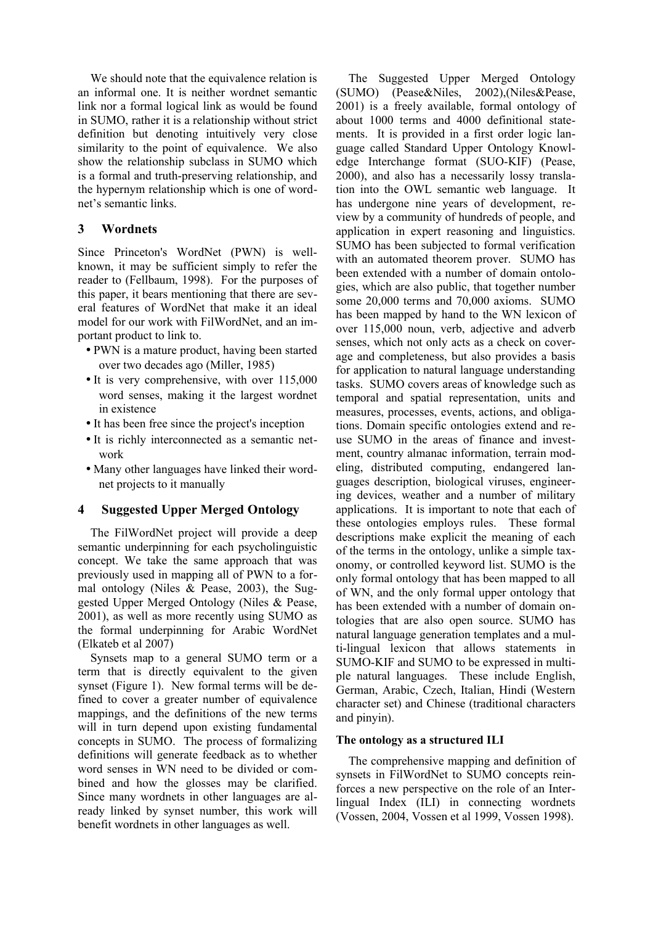We should note that the equivalence relation is an informal one. It is neither wordnet semantic link nor a formal logical link as would be found in SUMO, rather it is a relationship without strict definition but denoting intuitively very close similarity to the point of equivalence. We also show the relationship subclass in SUMO which is a formal and truth-preserving relationship, and the hypernym relationship which is one of wordnet's semantic links.

# **3 Wordnets**

Since Princeton's WordNet (PWN) is wellknown, it may be sufficient simply to refer the reader to (Fellbaum, 1998). For the purposes of this paper, it bears mentioning that there are several features of WordNet that make it an ideal model for our work with FilWordNet, and an important product to link to.

- PWN is a mature product, having been started over two decades ago (Miller, 1985)
- It is very comprehensive, with over 115,000 word senses, making it the largest wordnet in existence
- It has been free since the project's inception
- It is richly interconnected as a semantic network
- Many other languages have linked their wordnet projects to it manually

# **4 Suggested Upper Merged Ontology**

The FilWordNet project will provide a deep semantic underpinning for each psycholinguistic concept. We take the same approach that was previously used in mapping all of PWN to a formal ontology (Niles & Pease, 2003), the Suggested Upper Merged Ontology (Niles & Pease, 2001), as well as more recently using SUMO as the formal underpinning for Arabic WordNet (Elkateb et al 2007)

Synsets map to a general SUMO term or a term that is directly equivalent to the given synset (Figure 1). New formal terms will be defined to cover a greater number of equivalence mappings, and the definitions of the new terms will in turn depend upon existing fundamental concepts in SUMO. The process of formalizing definitions will generate feedback as to whether word senses in WN need to be divided or combined and how the glosses may be clarified. Since many wordnets in other languages are already linked by synset number, this work will benefit wordnets in other languages as well.

The Suggested Upper Merged Ontology (SUMO) (Pease&Niles, 2002),(Niles&Pease, 2001) is a freely available, formal ontology of about 1000 terms and 4000 definitional statements. It is provided in a first order logic language called Standard Upper Ontology Knowledge Interchange format (SUO-KIF) (Pease, 2000), and also has a necessarily lossy translation into the OWL semantic web language. It has undergone nine years of development, review by a community of hundreds of people, and application in expert reasoning and linguistics. SUMO has been subjected to formal verification with an automated theorem prover. SUMO has been extended with a number of domain ontologies, which are also public, that together number some 20,000 terms and 70,000 axioms. SUMO has been mapped by hand to the WN lexicon of over 115,000 noun, verb, adjective and adverb senses, which not only acts as a check on coverage and completeness, but also provides a basis for application to natural language understanding tasks. SUMO covers areas of knowledge such as temporal and spatial representation, units and measures, processes, events, actions, and obligations. Domain specific ontologies extend and reuse SUMO in the areas of finance and investment, country almanac information, terrain modeling, distributed computing, endangered languages description, biological viruses, engineering devices, weather and a number of military applications. It is important to note that each of these ontologies employs rules. These formal descriptions make explicit the meaning of each of the terms in the ontology, unlike a simple taxonomy, or controlled keyword list. SUMO is the only formal ontology that has been mapped to all of WN, and the only formal upper ontology that has been extended with a number of domain ontologies that are also open source. SUMO has natural language generation templates and a multi-lingual lexicon that allows statements in SUMO-KIF and SUMO to be expressed in multiple natural languages. These include English, German, Arabic, Czech, Italian, Hindi (Western character set) and Chinese (traditional characters and pinyin).

# **The ontology as a structured ILI**

The comprehensive mapping and definition of synsets in FilWordNet to SUMO concepts reinforces a new perspective on the role of an Interlingual Index (ILI) in connecting wordnets (Vossen, 2004, Vossen et al 1999, Vossen 1998).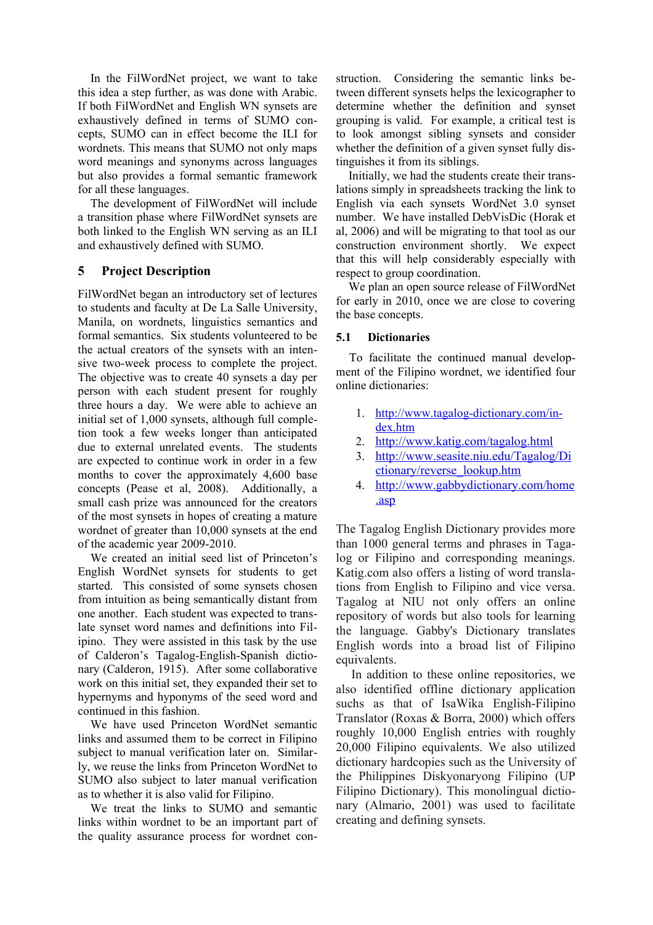In the FilWordNet project, we want to take this idea a step further, as was done with Arabic. If both FilWordNet and English WN synsets are exhaustively defined in terms of SUMO concepts, SUMO can in effect become the ILI for wordnets. This means that SUMO not only maps word meanings and synonyms across languages but also provides a formal semantic framework for all these languages.

The development of FilWordNet will include a transition phase where FilWordNet synsets are both linked to the English WN serving as an ILI and exhaustively defined with SUMO.

# **5 Project Description**

FilWordNet began an introductory set of lectures to students and faculty at De La Salle University, Manila, on wordnets, linguistics semantics and formal semantics. Six students volunteered to be the actual creators of the synsets with an intensive two-week process to complete the project. The objective was to create 40 synsets a day per person with each student present for roughly three hours a day. We were able to achieve an initial set of 1,000 synsets, although full completion took a few weeks longer than anticipated due to external unrelated events. The students are expected to continue work in order in a few months to cover the approximately 4,600 base concepts (Pease et al, 2008). Additionally, a small cash prize was announced for the creators of the most synsets in hopes of creating a mature wordnet of greater than 10,000 synsets at the end of the academic year 2009-2010.

We created an initial seed list of Princeton's English WordNet synsets for students to get started. This consisted of some synsets chosen from intuition as being semantically distant from one another. Each student was expected to translate synset word names and definitions into Filipino. They were assisted in this task by the use of Calderon's Tagalog-English-Spanish dictionary (Calderon, 1915). After some collaborative work on this initial set, they expanded their set to hypernyms and hyponyms of the seed word and continued in this fashion.

We have used Princeton WordNet semantic links and assumed them to be correct in Filipino subject to manual verification later on. Similarly, we reuse the links from Princeton WordNet to SUMO also subject to later manual verification as to whether it is also valid for Filipino.

We treat the links to SUMO and semantic links within wordnet to be an important part of the quality assurance process for wordnet construction. Considering the semantic links between different synsets helps the lexicographer to determine whether the definition and synset grouping is valid. For example, a critical test is to look amongst sibling synsets and consider whether the definition of a given synset fully distinguishes it from its siblings.

Initially, we had the students create their translations simply in spreadsheets tracking the link to English via each synsets WordNet 3.0 synset number. We have installed DebVisDic (Horak et al, 2006) and will be migrating to that tool as our construction environment shortly. We expect that this will help considerably especially with respect to group coordination.

We plan an open source release of FilWordNet for early in 2010, once we are close to covering the base concepts.

## **5.1 Dictionaries**

To facilitate the continued manual development of the Filipino wordnet, we identified four online dictionaries:

- 1. http://www.tagalog-dictionary.com/in[dex.htm](http://www.tagalog-dictionary.com/index.htm)
- 2.<http://www.katig.com/tagalog.html>
- 3. [http://www.seasite.niu.edu/Tagalog/Di](http://www.seasite.niu.edu/Tagalog/Dictionary/reverse_lookup.htm) [ctionary/reverse\\_lookup.htm](http://www.seasite.niu.edu/Tagalog/Dictionary/reverse_lookup.htm)
- 4. [http://www.gabbydictionary.com/home](http://www.gabbydictionary.com/author.asp) [.asp](http://www.gabbydictionary.com/author.asp)

The Tagalog English Dictionary provides more than 1000 general terms and phrases in Tagalog or Filipino and corresponding meanings. Katig.com also offers a listing of word translations from English to Filipino and vice versa. Tagalog at NIU not only offers an online repository of words but also tools for learning the language. Gabby's Dictionary translates English words into a broad list of Filipino equivalents.

In addition to these online repositories, we also identified offline dictionary application suchs as that of IsaWika English-Filipino Translator (Roxas & Borra, 2000) which offers roughly 10,000 English entries with roughly 20,000 Filipino equivalents. We also utilized dictionary hardcopies such as the University of the Philippines Diskyonaryong Filipino (UP Filipino Dictionary). This monolingual dictionary (Almario, 2001) was used to facilitate creating and defining synsets.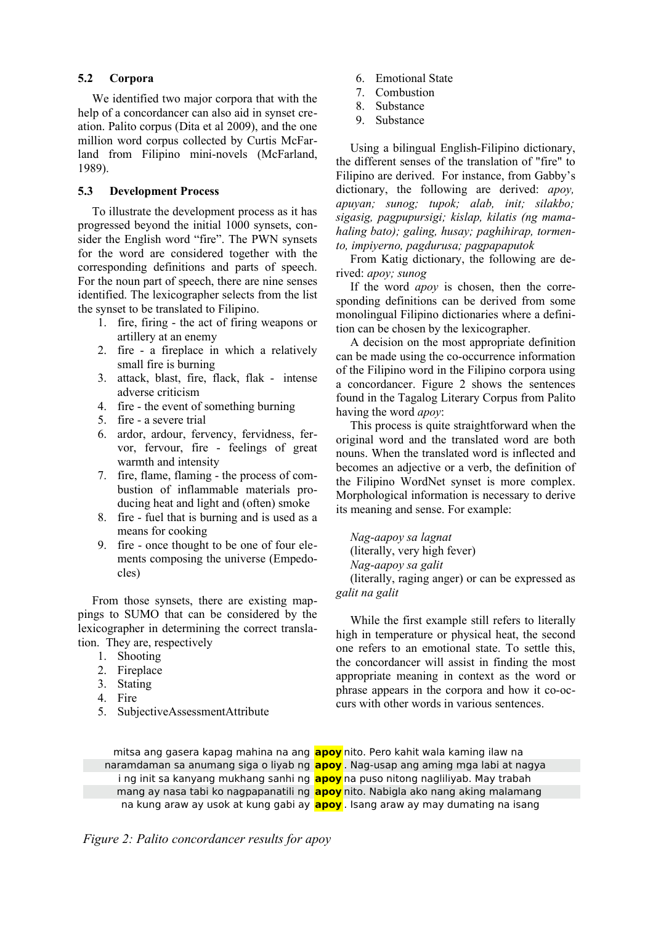## **5.2 Corpora**

We identified two major corpora that with the help of a concordancer can also aid in synset creation. Palito corpus (Dita et al 2009), and the one million word corpus collected by Curtis McFarland from Filipino mini-novels (McFarland, 1989).

### **5.3 Development Process**

To illustrate the development process as it has progressed beyond the initial 1000 synsets, consider the English word "fire". The PWN synsets for the word are considered together with the corresponding definitions and parts of speech. For the noun part of speech, there are nine senses identified. The lexicographer selects from the list the synset to be translated to Filipino.

- 1. fire, firing the act of firing weapons or artillery at an enemy
- 2. fire a fireplace in which a relatively small fire is burning
- 3. attack, blast, fire, flack, flak intense adverse criticism
- 4. fire the event of something burning
- 5. fire a severe trial
- 6. ardor, ardour, fervency, fervidness, fervor, fervour, fire - feelings of great warmth and intensity
- 7. fire, flame, flaming the process of combustion of inflammable materials producing heat and light and (often) smoke
- 8. fire fuel that is burning and is used as a means for cooking
- 9. fire once thought to be one of four elements composing the universe (Empedocles)

From those synsets, there are existing mappings to SUMO that can be considered by the lexicographer in determining the correct translation. They are, respectively

- 1. Shooting
- 2. Fireplace
- 3. Stating
- 4. Fire
- 5. SubjectiveAssessmentAttribute
- 6. Emotional State
- 7. Combustion
- 8. Substance
- 9. Substance

Using a bilingual English-Filipino dictionary, the different senses of the translation of "fire" to Filipino are derived. For instance, from Gabby's dictionary, the following are derived: *apoy, apuyan; sunog; tupok; alab, init; silakbo; sigasig, pagpupursigi; kislap, kilatis (ng mamahaling bato); galing, husay; paghihirap, tormento, impiyerno, pagdurusa; pagpapaputok*

From Katig dictionary, the following are derived: *apoy; sunog*

If the word *apoy* is chosen, then the corresponding definitions can be derived from some monolingual Filipino dictionaries where a definition can be chosen by the lexicographer.

A decision on the most appropriate definition can be made using the co-occurrence information of the Filipino word in the Filipino corpora using a concordancer. Figure 2 shows the sentences found in the Tagalog Literary Corpus from Palito having the word *apoy*:

This process is quite straightforward when the original word and the translated word are both nouns. When the translated word is inflected and becomes an adjective or a verb, the definition of the Filipino WordNet synset is more complex. Morphological information is necessary to derive its meaning and sense. For example:

*Nag-aapoy sa lagnat* 

(literally, very high fever)

*Nag-aapoy sa galit* 

(literally, raging anger) or can be expressed as *galit na galit*

While the first example still refers to literally high in temperature or physical heat, the second one refers to an emotional state. To settle this, the concordancer will assist in finding the most appropriate meaning in context as the word or phrase appears in the corpora and how it co-occurs with other words in various sentences.

mitsa ang gasera kapag mahina na ang **apoy** nito. Pero kahit wala kaming ilaw na naramdaman sa anumang siga o liyab ng **apoy** . Nag-usap ang aming mga labi at nagya i ng init sa kanyang mukhang sanhi ng **apoy** na puso nitong nagliliyab. May trabah mang ay nasa tabi ko nagpapanatili ng **apoy** nito. Nabigla ako nang aking malamang na kung araw ay usok at kung gabi ay **apoy** . Isang araw ay may dumating na isang

*Figure 2: Palito concordancer results for apoy*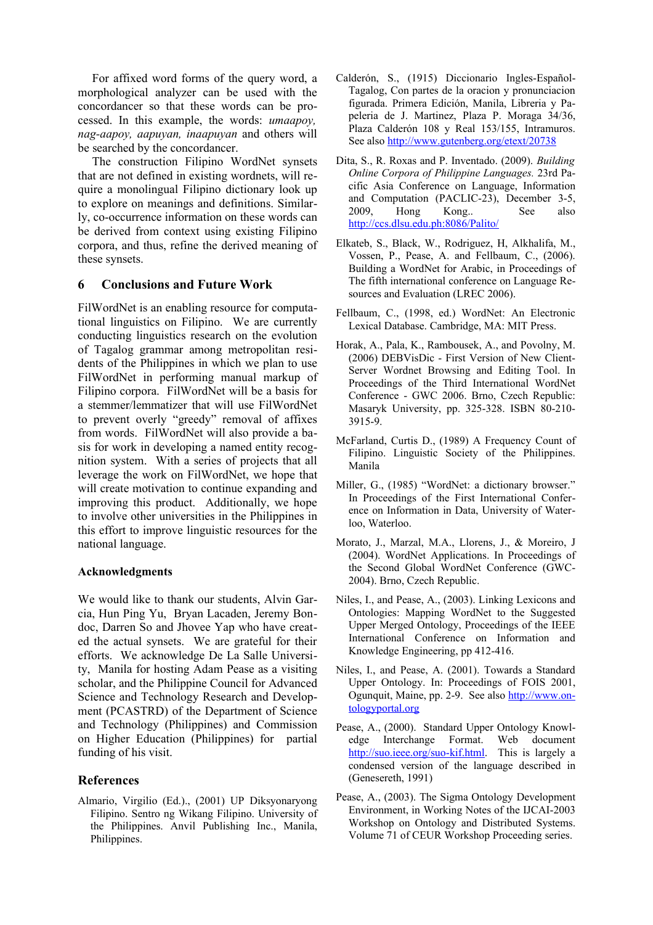For affixed word forms of the query word, a morphological analyzer can be used with the concordancer so that these words can be processed. In this example, the words: *umaapoy, nag-aapoy, aapuyan, inaapuyan* and others will be searched by the concordancer.

The construction Filipino WordNet synsets that are not defined in existing wordnets, will require a monolingual Filipino dictionary look up to explore on meanings and definitions. Similarly, co-occurrence information on these words can be derived from context using existing Filipino corpora, and thus, refine the derived meaning of these synsets.

# **6 Conclusions and Future Work**

FilWordNet is an enabling resource for computational linguistics on Filipino. We are currently conducting linguistics research on the evolution of Tagalog grammar among metropolitan residents of the Philippines in which we plan to use FilWordNet in performing manual markup of Filipino corpora. FilWordNet will be a basis for a stemmer/lemmatizer that will use FilWordNet to prevent overly "greedy" removal of affixes from words. FilWordNet will also provide a basis for work in developing a named entity recognition system. With a series of projects that all leverage the work on FilWordNet, we hope that will create motivation to continue expanding and improving this product. Additionally, we hope to involve other universities in the Philippines in this effort to improve linguistic resources for the national language.

#### **Acknowledgments**

We would like to thank our students, Alvin Garcia, Hun Ping Yu, Bryan Lacaden, Jeremy Bondoc, Darren So and Jhovee Yap who have created the actual synsets. We are grateful for their efforts. We acknowledge De La Salle University, Manila for hosting Adam Pease as a visiting scholar, and the Philippine Council for Advanced Science and Technology Research and Development (PCASTRD) of the Department of Science and Technology (Philippines) and Commission on Higher Education (Philippines) for partial funding of his visit.

# **References**

Almario, Virgilio (Ed.)., (2001) UP Diksyonaryong Filipino. Sentro ng Wikang Filipino. University of the Philippines. Anvil Publishing Inc., Manila, Philippines.

- Calderón, S., (1915) Diccionario Ingles-Español-Tagalog, Con partes de la oracion y pronunciacion figurada. Primera Edición, Manila, Libreria y Papeleria de J. Martinez, Plaza P. Moraga 34/36, Plaza Calderón 108 y Real 153/155, Intramuros. See also<http://www.gutenberg.org/etext/20738>
- Dita, S., R. Roxas and P. Inventado. (2009). *Building Online Corpora of Philippine Languages.* 23rd Pacific Asia Conference on Language, Information and Computation (PACLIC-23), December 3-5, 2009, Hong Kong.. See also <http://ccs.dlsu.edu.ph:8086/Palito/>
- Elkateb, S., Black, W., Rodriguez, H, Alkhalifa, M., Vossen, P., Pease, A. and Fellbaum, C., (2006). Building a WordNet for Arabic, in Proceedings of The fifth international conference on Language Resources and Evaluation (LREC 2006).
- Fellbaum, C., (1998, ed.) WordNet: An Electronic Lexical Database. Cambridge, MA: MIT Press.
- Horak, A., Pala, K., Rambousek, A., and Povolny, M. (2006) DEBVisDic - First Version of New Client-Server Wordnet Browsing and Editing Tool. In Proceedings of the Third International WordNet Conference - GWC 2006. Brno, Czech Republic: Masaryk University, pp. 325-328. ISBN 80-210- 3915-9.
- McFarland, Curtis D., (1989) A Frequency Count of Filipino. Linguistic Society of the Philippines. Manila
- Miller, G., (1985) "WordNet: a dictionary browser." In Proceedings of the First International Conference on Information in Data, University of Waterloo, Waterloo.
- Morato, J., Marzal, M.A., Llorens, J., & Moreiro, J (2004). WordNet Applications. In Proceedings of the Second Global WordNet Conference (GWC-2004). Brno, Czech Republic.
- Niles, I., and Pease, A., (2003). Linking Lexicons and Ontologies: Mapping WordNet to the Suggested Upper Merged Ontology, Proceedings of the IEEE International Conference on Information and Knowledge Engineering, pp 412-416.
- Niles, I., and Pease, A. (2001). Towards a Standard Upper Ontology. In: Proceedings of FOIS 2001, Ogunquit, Maine, pp. 2-9. See also [http://www.on](http://www.ontologyportal.org/)[tologyportal.org](http://www.ontologyportal.org/)
- Pease, A., (2000). Standard Upper Ontology Knowledge Interchange Format. Web document [http://suo.ieee.org/suo-kif.html.](http://suo.ieee.org/suo-kif.html) This is largely a condensed version of the language described in (Genesereth, 1991)
- Pease, A., (2003). The Sigma Ontology Development Environment, in Working Notes of the IJCAI-2003 Workshop on Ontology and Distributed Systems. Volume 71 of CEUR Workshop Proceeding series.